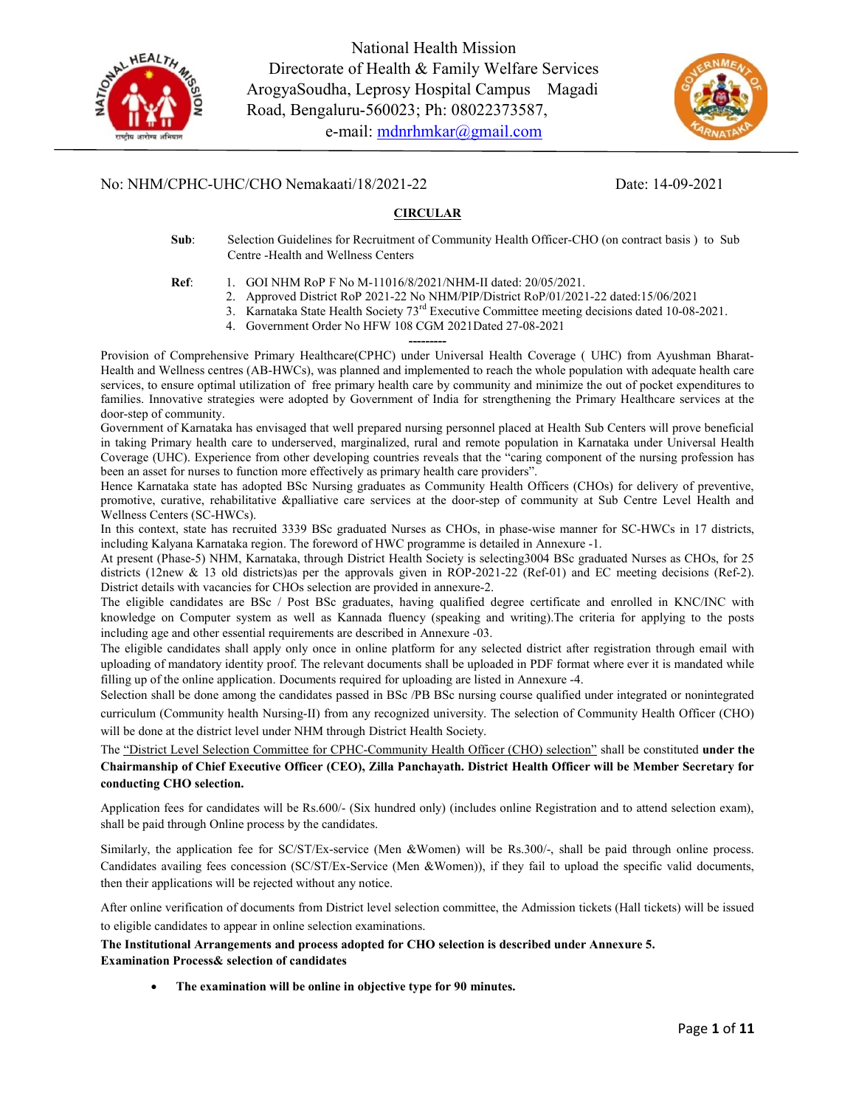

National Health Mission Directorate of Health & Family Welfare Services ArogyaSoudha, Leprosy Hospital Campus Magadi Road, Bengaluru-560023; Ph: 08022373587, e-mail: mdnrhmkar@gmail.com



### No: NHM/CPHC-UHC/CHO Nemakaati/18/2021-22 Date: 14-09-2021

#### **CIRCULAR**

Sub: Selection Guidelines for Recruitment of Community Health Officer-CHO (on contract basis ) to Sub Centre -Health and Wellness Centers

- Ref: 1. GOI NHM RoP F No M-11016/8/2021/NHM-II dated: 20/05/2021.
	- 2. Approved District RoP 2021-22 No NHM/PIP/District RoP/01/2021-22 dated:15/06/2021
	- 3. Karnataka State Health Society 73<sup>rd</sup> Executive Committee meeting decisions dated 10-08-2021.
	- 4. Government Order No HFW 108 CGM 2021Dated 27-08-2021 ---------

Provision of Comprehensive Primary Healthcare(CPHC) under Universal Health Coverage ( UHC) from Ayushman Bharat-Health and Wellness centres (AB-HWCs), was planned and implemented to reach the whole population with adequate health care services, to ensure optimal utilization of free primary health care by community and minimize the out of pocket expenditures to families. Innovative strategies were adopted by Government of India for strengthening the Primary Healthcare services at the door-step of community.

Government of Karnataka has envisaged that well prepared nursing personnel placed at Health Sub Centers will prove beneficial in taking Primary health care to underserved, marginalized, rural and remote population in Karnataka under Universal Health Coverage (UHC). Experience from other developing countries reveals that the "caring component of the nursing profession has been an asset for nurses to function more effectively as primary health care providers".

Hence Karnataka state has adopted BSc Nursing graduates as Community Health Officers (CHOs) for delivery of preventive, promotive, curative, rehabilitative &palliative care services at the door-step of community at Sub Centre Level Health and Wellness Centers (SC-HWCs).

In this context, state has recruited 3339 BSc graduated Nurses as CHOs, in phase-wise manner for SC-HWCs in 17 districts, including Kalyana Karnataka region. The foreword of HWC programme is detailed in Annexure -1.

At present (Phase-5) NHM, Karnataka, through District Health Society is selecting3004 BSc graduated Nurses as CHOs, for 25 districts (12new & 13 old districts)as per the approvals given in ROP-2021-22 (Ref-01) and EC meeting decisions (Ref-2). District details with vacancies for CHOs selection are provided in annexure-2.

The eligible candidates are BSc / Post BSc graduates, having qualified degree certificate and enrolled in KNC/INC with knowledge on Computer system as well as Kannada fluency (speaking and writing).The criteria for applying to the posts including age and other essential requirements are described in Annexure -03.

The eligible candidates shall apply only once in online platform for any selected district after registration through email with uploading of mandatory identity proof. The relevant documents shall be uploaded in PDF format where ever it is mandated while filling up of the online application. Documents required for uploading are listed in Annexure -4.

Selection shall be done among the candidates passed in BSc /PB BSc nursing course qualified under integrated or nonintegrated curriculum (Community health Nursing-II) from any recognized university. The selection of Community Health Officer (CHO) will be done at the district level under NHM through District Health Society.

The "District Level Selection Committee for CPHC-Community Health Officer (CHO) selection" shall be constituted under the Chairmanship of Chief Executive Officer (CEO), Zilla Panchayath. District Health Officer will be Member Secretary for conducting CHO selection.

Application fees for candidates will be Rs.600/- (Six hundred only) (includes online Registration and to attend selection exam), shall be paid through Online process by the candidates.

Similarly, the application fee for SC/ST/Ex-service (Men &Women) will be Rs.300/-, shall be paid through online process. Candidates availing fees concession (SC/ST/Ex-Service (Men &Women)), if they fail to upload the specific valid documents, then their applications will be rejected without any notice.

After online verification of documents from District level selection committee, the Admission tickets (Hall tickets) will be issued to eligible candidates to appear in online selection examinations.

# The Institutional Arrangements and process adopted for CHO selection is described under Annexure 5.

#### Examination Process& selection of candidates

The examination will be online in objective type for 90 minutes.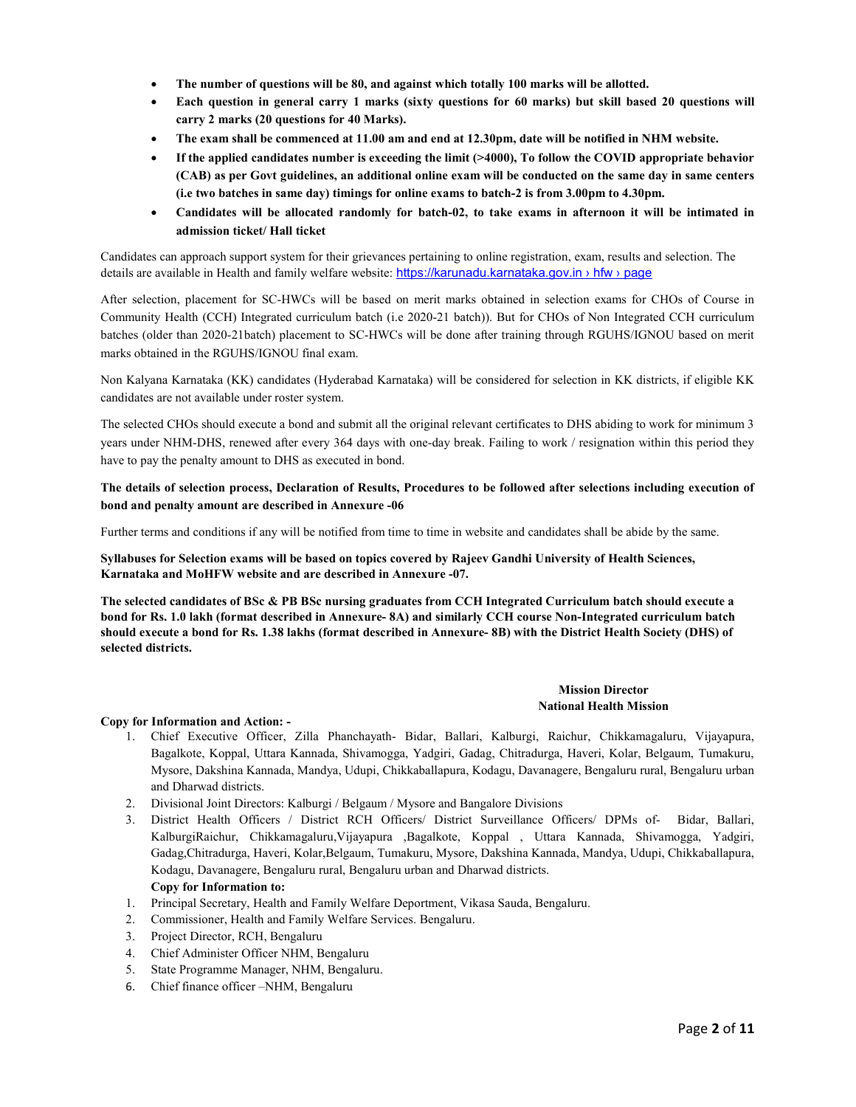- The number of questions will be 80, and against which totally 100 marks will be allotted.
- Each question in general carry 1 marks (sixty questions for 60 marks) but skill based 20 questions will carry 2 marks (20 questions for 40 Marks).
- The exam shall be commenced at 11.00 am and end at 12.30pm, date will be notified in NHM website.
- **If the applied candidates number is exceeding the limit**  $(>4000)$ **, To follow the COVID appropriate behavior** (CAB) as per Govt guidelines, an additional online exam will be conducted on the same day in same centers (i.e two batches in same day) timings for online exams to batch-2 is from 3.00pm to 4.30pm.
- Candidates will be allocated randomly for batch-02, to take exams in afternoon it will be intimated in admission ticket/ Hall ticket

Candidates can approach support system for their grievances pertaining to online registration, exam, results and selection. The details are available in Health and family welfare website: https://karunadu.karnataka.gov.in › hfw › page

After selection, placement for SC-HWCs will be based on merit marks obtained in selection exams for CHOs of Course in Community Health (CCH) Integrated curriculum batch (i.e 2020-21 batch)). But for CHOs of Non Integrated CCH curriculum batches (older than 2020-21batch) placement to SC-HWCs will be done after training through RGUHS/IGNOU based on merit marks obtained in the RGUHS/IGNOU final exam.

Non Kalyana Karnataka (KK) candidates (Hyderabad Karnataka) will be considered for selection in KK districts, if eligible KK candidates are not available under roster system.

The selected CHOs should execute a bond and submit all the original relevant certificates to DHS abiding to work for minimum 3 years under NHM-DHS, renewed after every 364 days with one-day break. Failing to work / resignation within this period they have to pay the penalty amount to DHS as executed in bond.

#### The details of selection process, Declaration of Results, Procedures to be followed after selections including execution of bond and penalty amount are described in Annexure -06

Further terms and conditions if any will be notified from time to time in website and candidates shall be abide by the same.

Syllabuses for Selection exams will be based on topics covered by Rajeev Gandhi University of Health Sciences, Karnataka and MoHFW website and are described in Annexure -07.

The selected candidates of BSc & PB BSc nursing graduates from CCH Integrated Curriculum batch should execute a bond for Rs. 1.0 lakh (format described in Annexure- 8A) and similarly CCH course Non-Integrated curriculum batch should execute a bond for Rs. 1.38 lakhs (format described in Annexure- 8B) with the District Health Society (DHS) of selected districts.

#### Mission Director National Health Mission

#### Copy for Information and Action: -

- 1. Chief Executive Officer, Zilla Phanchayath- Bidar, Ballari, Kalburgi, Raichur, Chikkamagaluru, Vijayapura, Bagalkote, Koppal, Uttara Kannada, Shivamogga, Yadgiri, Gadag, Chitradurga, Haveri, Kolar, Belgaum, Tumakuru, Mysore, Dakshina Kannada, Mandya, Udupi, Chikkaballapura, Kodagu, Davanagere, Bengaluru rural, Bengaluru urban and Dharwad districts.
- 2. Divisional Joint Directors: Kalburgi / Belgaum / Mysore and Bangalore Divisions
- 3. District Health Officers / District RCH Officers/ District Surveillance Officers/ DPMs of- Bidar, Ballari, KalburgiRaichur, Chikkamagaluru,Vijayapura ,Bagalkote, Koppal , Uttara Kannada, Shivamogga, Yadgiri, Gadag,Chitradurga, Haveri, Kolar,Belgaum, Tumakuru, Mysore, Dakshina Kannada, Mandya, Udupi, Chikkaballapura, Kodagu, Davanagere, Bengaluru rural, Bengaluru urban and Dharwad districts. Copy for Information to:
- 1. Principal Secretary, Health and Family Welfare Deportment, Vikasa Sauda, Bengaluru.
- 2. Commissioner, Health and Family Welfare Services. Bengaluru.
- 3. Project Director, RCH, Bengaluru
- 4. Chief Administer Officer NHM, Bengaluru
- 5. State Programme Manager, NHM, Bengaluru.
- 6. Chief finance officer –NHM, Bengaluru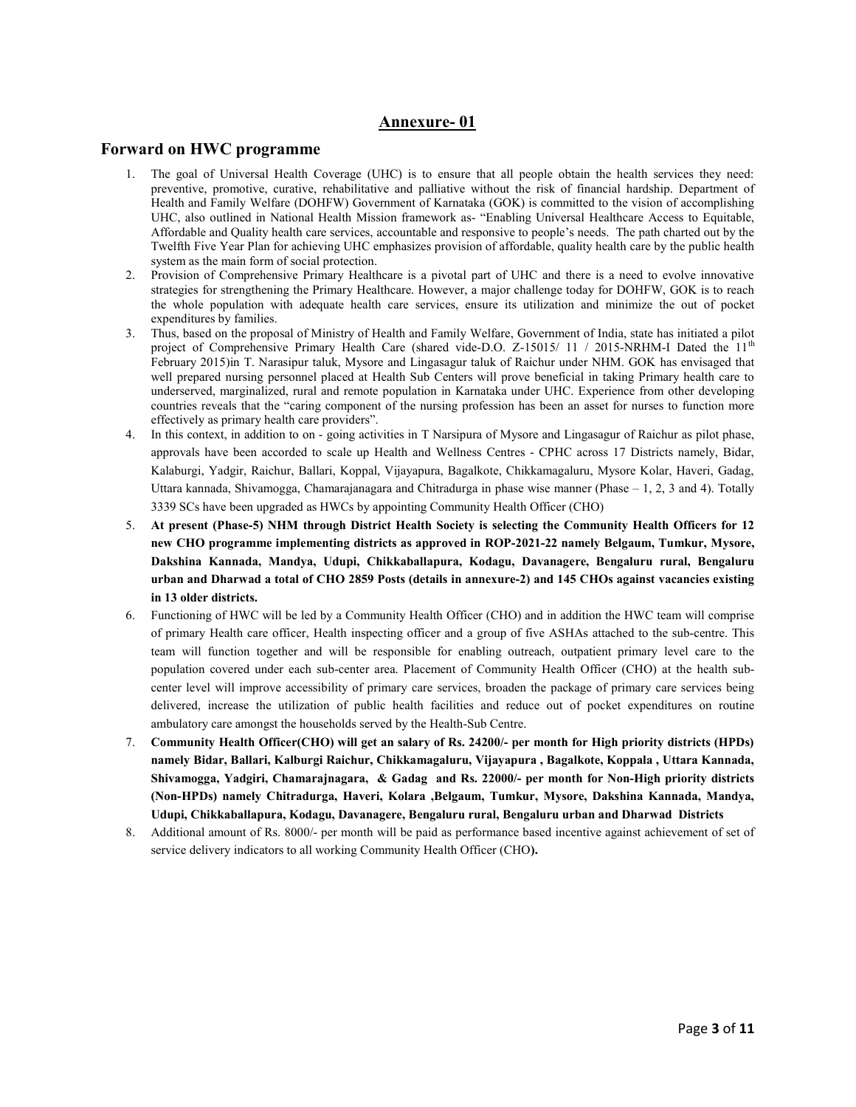### Annexure- 01

#### Forward on HWC programme

- 1. The goal of Universal Health Coverage (UHC) is to ensure that all people obtain the health services they need: preventive, promotive, curative, rehabilitative and palliative without the risk of financial hardship. Department of Health and Family Welfare (DOHFW) Government of Karnataka (GOK) is committed to the vision of accomplishing UHC, also outlined in National Health Mission framework as- "Enabling Universal Healthcare Access to Equitable, Affordable and Quality health care services, accountable and responsive to people's needs. The path charted out by the Twelfth Five Year Plan for achieving UHC emphasizes provision of affordable, quality health care by the public health system as the main form of social protection.
- 2. Provision of Comprehensive Primary Healthcare is a pivotal part of UHC and there is a need to evolve innovative strategies for strengthening the Primary Healthcare. However, a major challenge today for DOHFW, GOK is to reach the whole population with adequate health care services, ensure its utilization and minimize the out of pocket expenditures by families.
- 3. Thus, based on the proposal of Ministry of Health and Family Welfare, Government of India, state has initiated a pilot project of Comprehensive Primary Health Care (shared vide-D.O. Z-15015/ 11 / 2015-NRHM-I Dated the  $11<sup>th</sup>$ February 2015)in T. Narasipur taluk, Mysore and Lingasagur taluk of Raichur under NHM. GOK has envisaged that well prepared nursing personnel placed at Health Sub Centers will prove beneficial in taking Primary health care to underserved, marginalized, rural and remote population in Karnataka under UHC. Experience from other developing countries reveals that the "caring component of the nursing profession has been an asset for nurses to function more effectively as primary health care providers".
- 4. In this context, in addition to on going activities in T Narsipura of Mysore and Lingasagur of Raichur as pilot phase, approvals have been accorded to scale up Health and Wellness Centres - CPHC across 17 Districts namely, Bidar, Kalaburgi, Yadgir, Raichur, Ballari, Koppal, Vijayapura, Bagalkote, Chikkamagaluru, Mysore Kolar, Haveri, Gadag, Uttara kannada, Shivamogga, Chamarajanagara and Chitradurga in phase wise manner (Phase – 1, 2, 3 and 4). Totally 3339 SCs have been upgraded as HWCs by appointing Community Health Officer (CHO)
- 5. At present (Phase-5) NHM through District Health Society is selecting the Community Health Officers for 12 new CHO programme implementing districts as approved in ROP-2021-22 namely Belgaum, Tumkur, Mysore, Dakshina Kannada, Mandya, Udupi, Chikkaballapura, Kodagu, Davanagere, Bengaluru rural, Bengaluru urban and Dharwad a total of CHO 2859 Posts (details in annexure-2) and 145 CHOs against vacancies existing in 13 older districts.
- 6. Functioning of HWC will be led by a Community Health Officer (CHO) and in addition the HWC team will comprise of primary Health care officer, Health inspecting officer and a group of five ASHAs attached to the sub-centre. This team will function together and will be responsible for enabling outreach, outpatient primary level care to the population covered under each sub-center area. Placement of Community Health Officer (CHO) at the health subcenter level will improve accessibility of primary care services, broaden the package of primary care services being delivered, increase the utilization of public health facilities and reduce out of pocket expenditures on routine ambulatory care amongst the households served by the Health-Sub Centre.
- 7. Community Health Officer(CHO) will get an salary of Rs. 24200/- per month for High priority districts (HPDs) namely Bidar, Ballari, Kalburgi Raichur, Chikkamagaluru, Vijayapura , Bagalkote, Koppala , Uttara Kannada, Shivamogga, Yadgiri, Chamarajnagara, & Gadag and Rs. 22000/- per month for Non-High priority districts (Non-HPDs) namely Chitradurga, Haveri, Kolara ,Belgaum, Tumkur, Mysore, Dakshina Kannada, Mandya, Udupi, Chikkaballapura, Kodagu, Davanagere, Bengaluru rural, Bengaluru urban and Dharwad Districts
- 8. Additional amount of Rs. 8000/- per month will be paid as performance based incentive against achievement of set of service delivery indicators to all working Community Health Officer (CHO).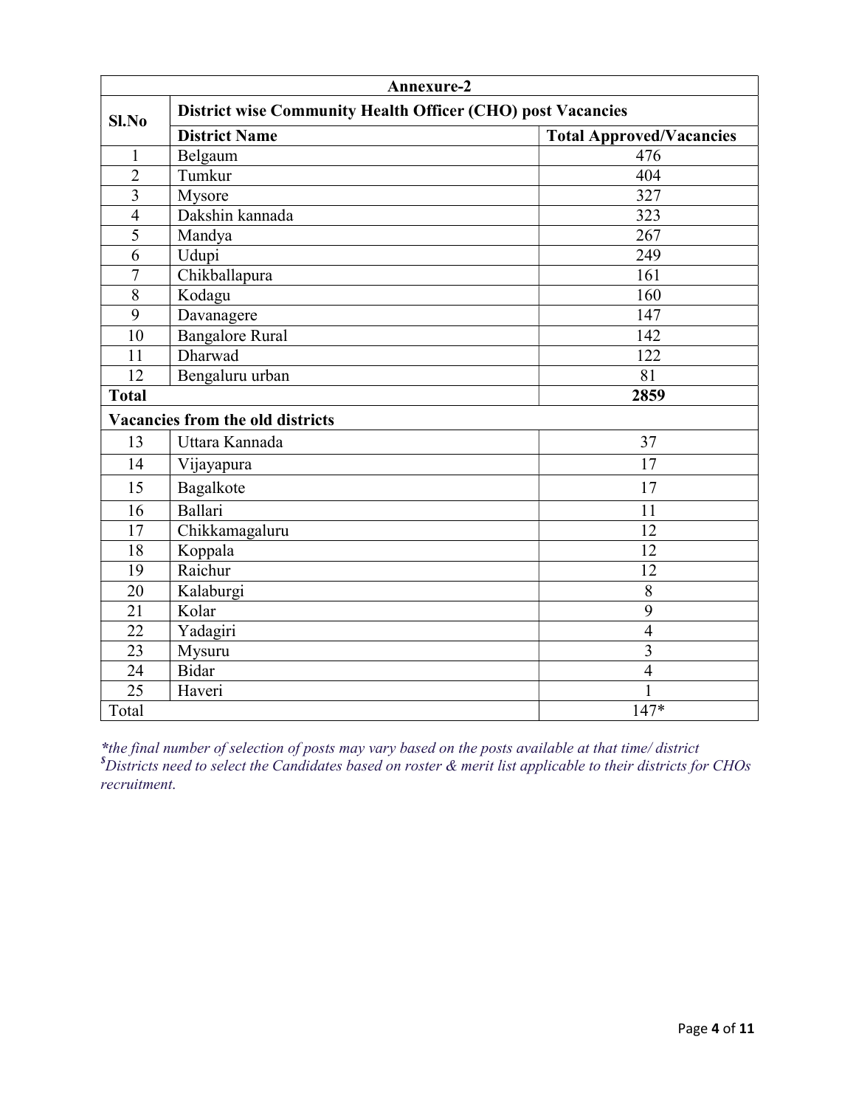| Annexure-2                       |                                                             |                                 |  |  |
|----------------------------------|-------------------------------------------------------------|---------------------------------|--|--|
| Sl.No                            | District wise Community Health Officer (CHO) post Vacancies |                                 |  |  |
|                                  | <b>District Name</b>                                        | <b>Total Approved/Vacancies</b> |  |  |
| 1                                | Belgaum                                                     | 476                             |  |  |
| $\overline{2}$                   | Tumkur                                                      | 404                             |  |  |
| $\overline{3}$                   | Mysore                                                      | 327                             |  |  |
| $\overline{4}$                   | Dakshin kannada                                             | 323                             |  |  |
| $\overline{5}$                   | Mandya                                                      | 267                             |  |  |
| 6                                | Udupi                                                       | 249                             |  |  |
| $\overline{7}$                   | Chikballapura                                               | 161                             |  |  |
| 8                                | Kodagu                                                      | 160                             |  |  |
| $\overline{9}$                   | Davanagere                                                  | 147                             |  |  |
| 10                               | <b>Bangalore Rural</b>                                      | 142                             |  |  |
| 11                               | Dharwad                                                     | 122                             |  |  |
| 12                               | Bengaluru urban                                             | 81                              |  |  |
| <b>Total</b>                     |                                                             | 2859                            |  |  |
| Vacancies from the old districts |                                                             |                                 |  |  |
| 13                               | Uttara Kannada                                              | 37                              |  |  |
| 14                               | Vijayapura                                                  | 17                              |  |  |
| 15                               | Bagalkote                                                   | 17                              |  |  |
| 16                               | Ballari                                                     | 11                              |  |  |
| 17                               | Chikkamagaluru                                              | 12                              |  |  |
| 18                               | Koppala                                                     | 12                              |  |  |
| 19                               | Raichur                                                     | 12                              |  |  |
| 20                               | Kalaburgi                                                   | 8                               |  |  |
| $\overline{21}$                  | Kolar                                                       | $\overline{9}$                  |  |  |
| 22                               | Yadagiri                                                    | $\overline{4}$                  |  |  |
| $\overline{23}$                  | Mysuru                                                      | $\overline{\mathbf{3}}$         |  |  |
| 24                               | Bidar                                                       | $\overline{4}$                  |  |  |
| 25                               | Haveri                                                      |                                 |  |  |
| Total                            |                                                             | $147*$                          |  |  |

\*the final number of selection of posts may vary based on the posts available at that time/ district  ${}^s$ Districts need to select the Candidates based on roster  $\&$  merit list applicable to their districts for CHOs recruitment.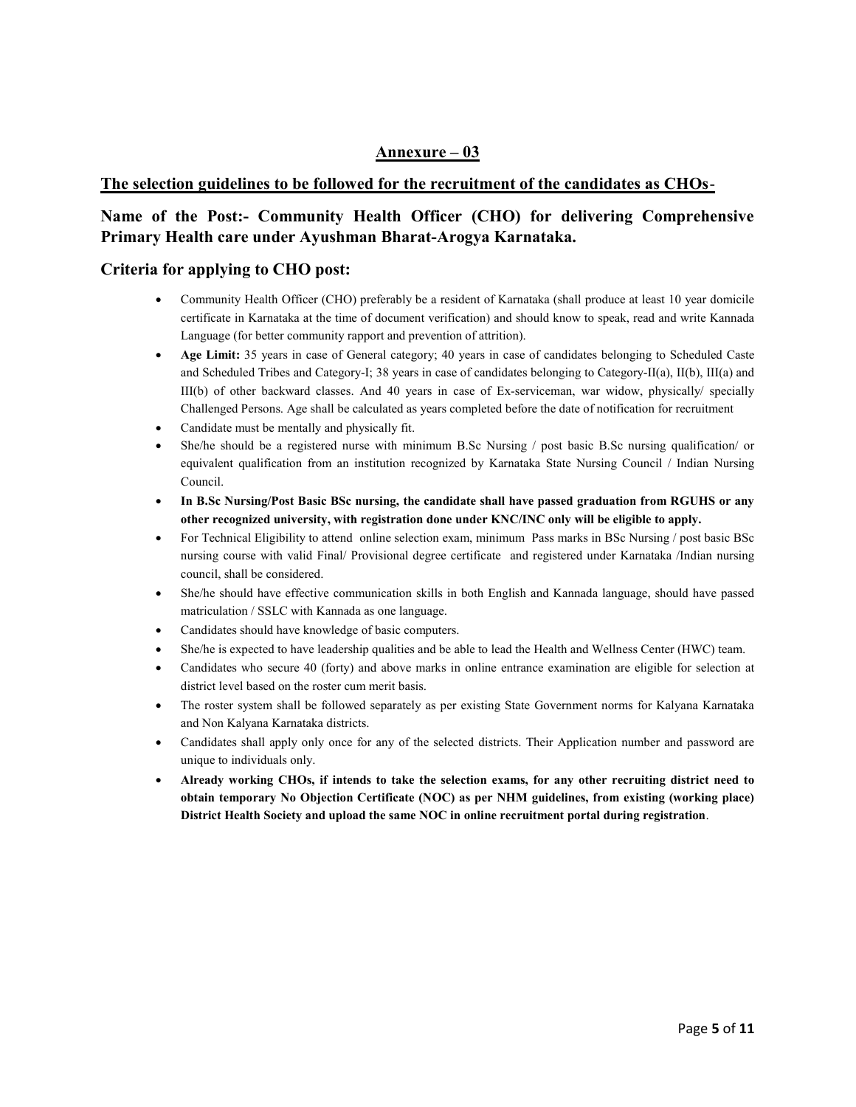### Annexure – 03

### The selection guidelines to be followed for the recruitment of the candidates as CHOs-

### Name of the Post:- Community Health Officer (CHO) for delivering Comprehensive Primary Health care under Ayushman Bharat-Arogya Karnataka.

#### Criteria for applying to CHO post:

- Community Health Officer (CHO) preferably be a resident of Karnataka (shall produce at least 10 year domicile certificate in Karnataka at the time of document verification) and should know to speak, read and write Kannada Language (for better community rapport and prevention of attrition).
- Age Limit: 35 years in case of General category; 40 years in case of candidates belonging to Scheduled Caste and Scheduled Tribes and Category-I; 38 years in case of candidates belonging to Category-II(a), II(b), III(a) and III(b) of other backward classes. And 40 years in case of Ex-serviceman, war widow, physically/ specially Challenged Persons. Age shall be calculated as years completed before the date of notification for recruitment
- Candidate must be mentally and physically fit.
- She/he should be a registered nurse with minimum B.Sc Nursing / post basic B.Sc nursing qualification/ or equivalent qualification from an institution recognized by Karnataka State Nursing Council / Indian Nursing Council.
- In B.Sc Nursing/Post Basic BSc nursing, the candidate shall have passed graduation from RGUHS or any other recognized university, with registration done under KNC/INC only will be eligible to apply.
- For Technical Eligibility to attend online selection exam, minimum Pass marks in BSc Nursing / post basic BSc nursing course with valid Final/ Provisional degree certificate and registered under Karnataka /Indian nursing council, shall be considered.
- She/he should have effective communication skills in both English and Kannada language, should have passed matriculation / SSLC with Kannada as one language.
- Candidates should have knowledge of basic computers.
- She/he is expected to have leadership qualities and be able to lead the Health and Wellness Center (HWC) team.
- Candidates who secure 40 (forty) and above marks in online entrance examination are eligible for selection at district level based on the roster cum merit basis.
- The roster system shall be followed separately as per existing State Government norms for Kalyana Karnataka and Non Kalyana Karnataka districts.
- Candidates shall apply only once for any of the selected districts. Their Application number and password are unique to individuals only.
- Already working CHOs, if intends to take the selection exams, for any other recruiting district need to obtain temporary No Objection Certificate (NOC) as per NHM guidelines, from existing (working place) District Health Society and upload the same NOC in online recruitment portal during registration.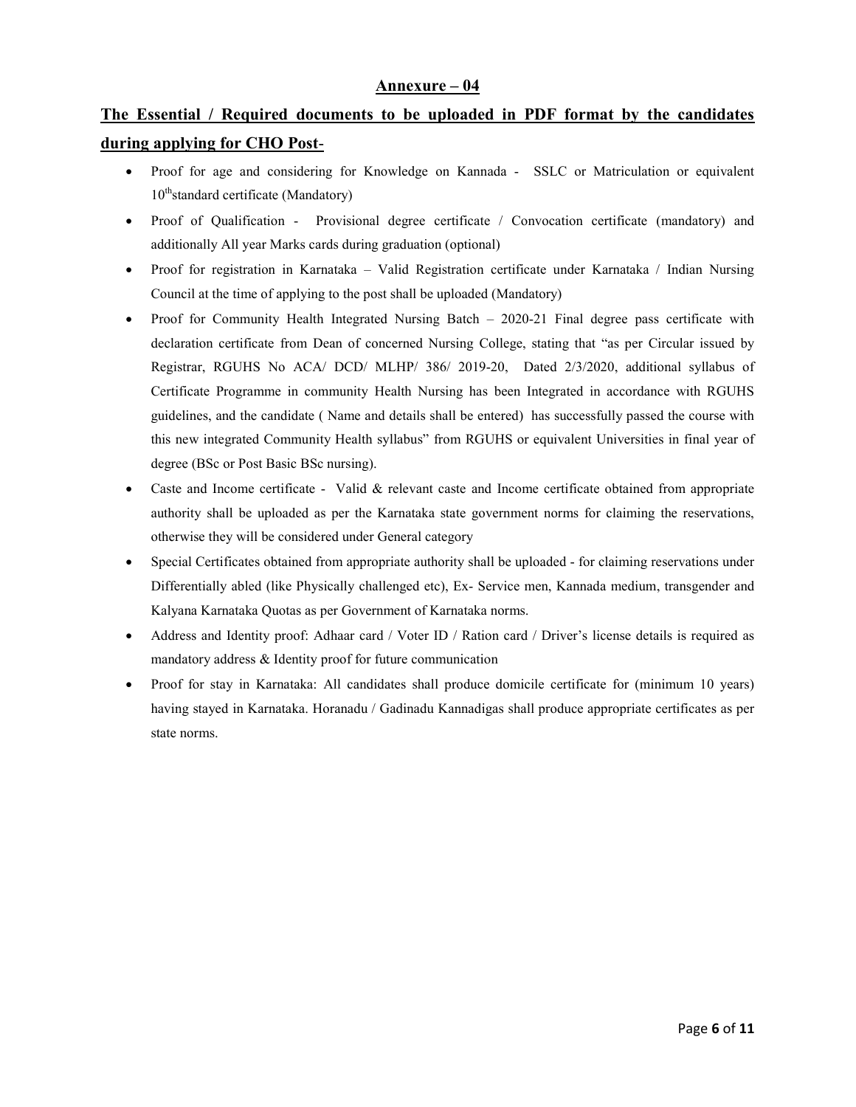#### Annexure – 04

# The Essential / Required documents to be uploaded in PDF format by the candidates during applying for CHO Post-

- Proof for age and considering for Knowledge on Kannada SSLC or Matriculation or equivalent  $10<sup>th</sup>$ standard certificate (Mandatory)
- Proof of Qualification Provisional degree certificate / Convocation certificate (mandatory) and additionally All year Marks cards during graduation (optional)
- Proof for registration in Karnataka Valid Registration certificate under Karnataka / Indian Nursing Council at the time of applying to the post shall be uploaded (Mandatory)
- Proof for Community Health Integrated Nursing Batch 2020-21 Final degree pass certificate with declaration certificate from Dean of concerned Nursing College, stating that "as per Circular issued by Registrar, RGUHS No ACA/ DCD/ MLHP/ 386/ 2019-20, Dated 2/3/2020, additional syllabus of Certificate Programme in community Health Nursing has been Integrated in accordance with RGUHS guidelines, and the candidate ( Name and details shall be entered) has successfully passed the course with this new integrated Community Health syllabus" from RGUHS or equivalent Universities in final year of degree (BSc or Post Basic BSc nursing).
- Caste and Income certificate Valid & relevant caste and Income certificate obtained from appropriate authority shall be uploaded as per the Karnataka state government norms for claiming the reservations, otherwise they will be considered under General category
- Special Certificates obtained from appropriate authority shall be uploaded for claiming reservations under Differentially abled (like Physically challenged etc), Ex- Service men, Kannada medium, transgender and Kalyana Karnataka Quotas as per Government of Karnataka norms.
- Address and Identity proof: Adhaar card / Voter ID / Ration card / Driver's license details is required as mandatory address & Identity proof for future communication
- Proof for stay in Karnataka: All candidates shall produce domicile certificate for (minimum 10 years) having stayed in Karnataka. Horanadu / Gadinadu Kannadigas shall produce appropriate certificates as per state norms.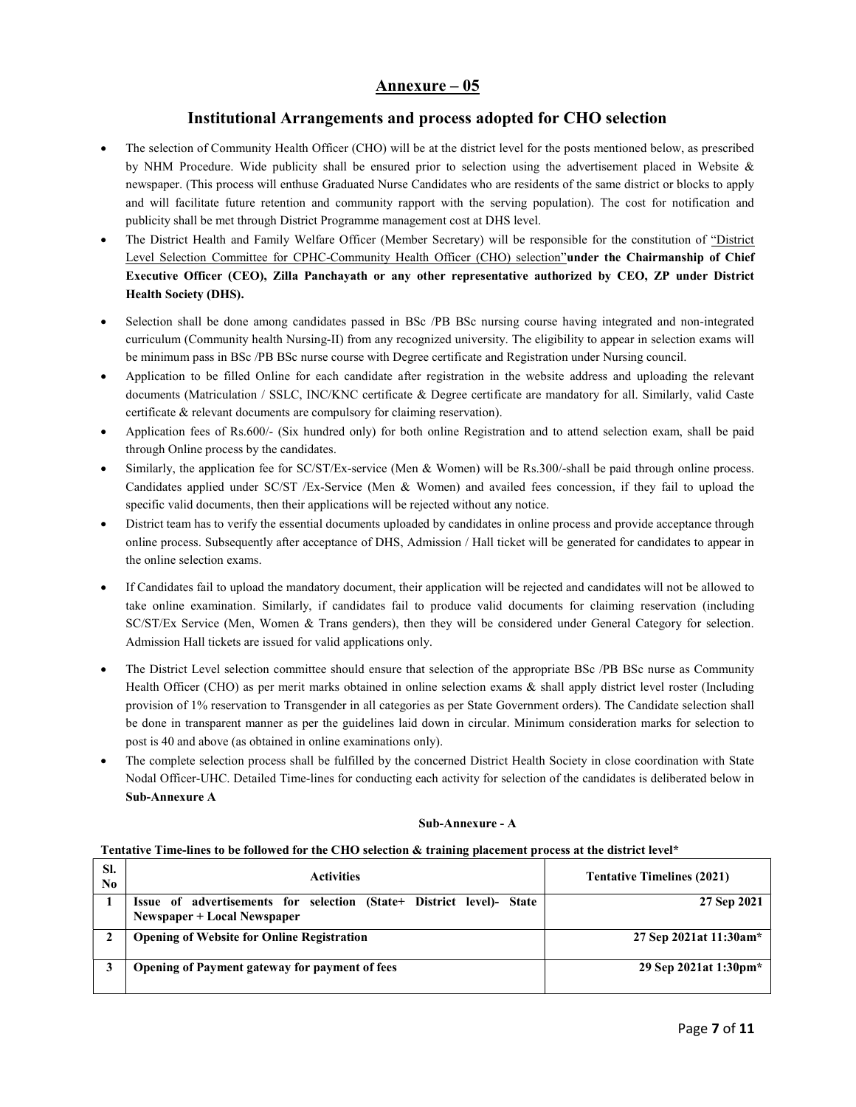### Annexure – 05

### Institutional Arrangements and process adopted for CHO selection

- The selection of Community Health Officer (CHO) will be at the district level for the posts mentioned below, as prescribed by NHM Procedure. Wide publicity shall be ensured prior to selection using the advertisement placed in Website & newspaper. (This process will enthuse Graduated Nurse Candidates who are residents of the same district or blocks to apply and will facilitate future retention and community rapport with the serving population). The cost for notification and publicity shall be met through District Programme management cost at DHS level.
- The District Health and Family Welfare Officer (Member Secretary) will be responsible for the constitution of "District Level Selection Committee for CPHC-Community Health Officer (CHO) selection"under the Chairmanship of Chief Executive Officer (CEO), Zilla Panchayath or any other representative authorized by CEO, ZP under District Health Society (DHS).
- Selection shall be done among candidates passed in BSc /PB BSc nursing course having integrated and non-integrated curriculum (Community health Nursing-II) from any recognized university. The eligibility to appear in selection exams will be minimum pass in BSc /PB BSc nurse course with Degree certificate and Registration under Nursing council.
- Application to be filled Online for each candidate after registration in the website address and uploading the relevant documents (Matriculation / SSLC, INC/KNC certificate & Degree certificate are mandatory for all. Similarly, valid Caste certificate & relevant documents are compulsory for claiming reservation).
- Application fees of Rs.600/- (Six hundred only) for both online Registration and to attend selection exam, shall be paid through Online process by the candidates.
- Similarly, the application fee for SC/ST/Ex-service (Men & Women) will be Rs.300/-shall be paid through online process. Candidates applied under SC/ST /Ex-Service (Men & Women) and availed fees concession, if they fail to upload the specific valid documents, then their applications will be rejected without any notice.
- District team has to verify the essential documents uploaded by candidates in online process and provide acceptance through online process. Subsequently after acceptance of DHS, Admission / Hall ticket will be generated for candidates to appear in the online selection exams.
- If Candidates fail to upload the mandatory document, their application will be rejected and candidates will not be allowed to take online examination. Similarly, if candidates fail to produce valid documents for claiming reservation (including SC/ST/Ex Service (Men, Women & Trans genders), then they will be considered under General Category for selection. Admission Hall tickets are issued for valid applications only.
- The District Level selection committee should ensure that selection of the appropriate BSc /PB BSc nurse as Community Health Officer (CHO) as per merit marks obtained in online selection exams & shall apply district level roster (Including provision of 1% reservation to Transgender in all categories as per State Government orders). The Candidate selection shall be done in transparent manner as per the guidelines laid down in circular. Minimum consideration marks for selection to post is 40 and above (as obtained in online examinations only).
- The complete selection process shall be fulfilled by the concerned District Health Society in close coordination with State Nodal Officer-UHC. Detailed Time-lines for conducting each activity for selection of the candidates is deliberated below in Sub-Annexure A

#### Sub-Annexure - A

#### Tentative Time-lines to be followed for the CHO selection & training placement process at the district level\*

| SI.<br>No. | <b>Activities</b>                                                                                   | <b>Tentative Timelines (2021)</b> |
|------------|-----------------------------------------------------------------------------------------------------|-----------------------------------|
|            | Issue of advertisements for selection (State+ District level)- State<br>Newspaper + Local Newspaper | 27 Sep 2021                       |
|            | <b>Opening of Website for Online Registration</b>                                                   | 27 Sep 2021at 11:30am*            |
|            | <b>Opening of Payment gateway for payment of fees</b>                                               | 29 Sep 2021at 1:30pm*             |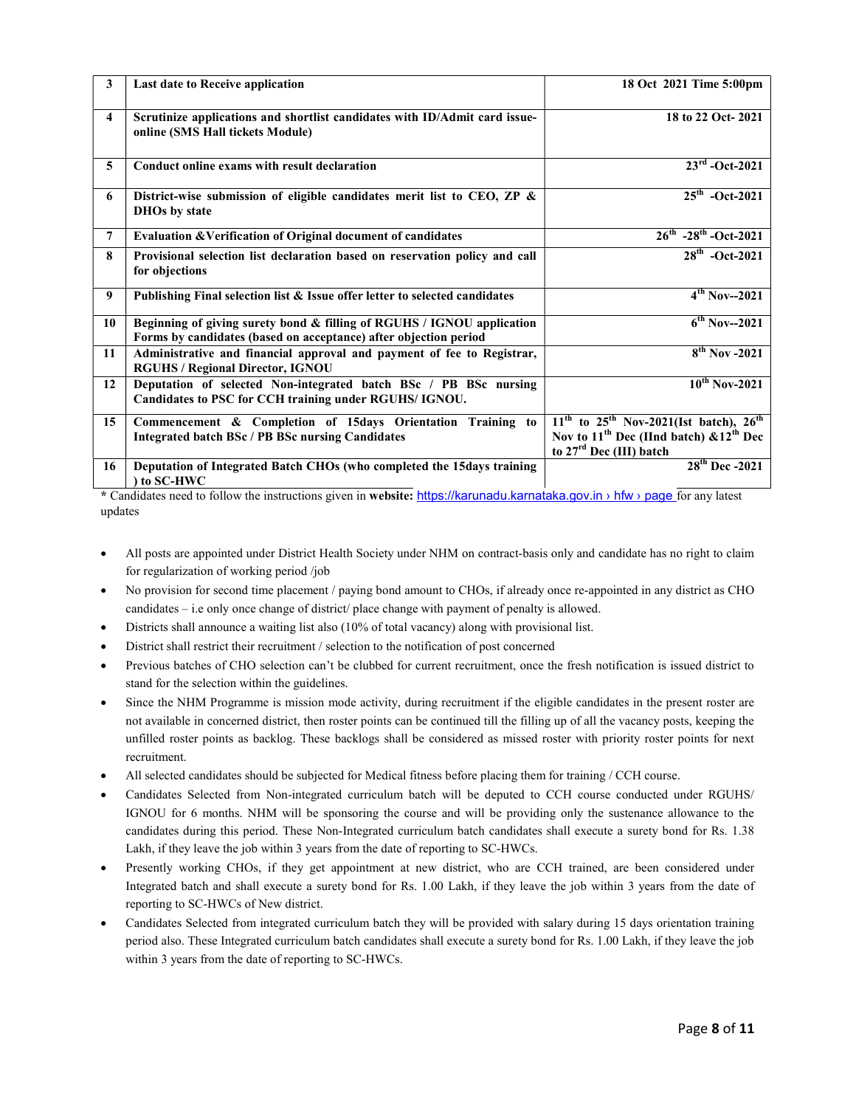| $\mathbf{3}$ | Last date to Receive application                                                                                                           | 18 Oct 2021 Time 5:00pm                                                                                                                                  |
|--------------|--------------------------------------------------------------------------------------------------------------------------------------------|----------------------------------------------------------------------------------------------------------------------------------------------------------|
| 4            | Scrutinize applications and shortlist candidates with ID/Admit card issue-<br>online (SMS Hall tickets Module)                             | 18 to 22 Oct-2021                                                                                                                                        |
| 5            | Conduct online exams with result declaration                                                                                               | $23^{\rm rd}$ -Oct-2021                                                                                                                                  |
| 6            | District-wise submission of eligible candidates merit list to CEO, ZP &<br><b>DHOs by state</b>                                            | $25^{th}$ -Oct-2021                                                                                                                                      |
| 7            | Evaluation & Verification of Original document of candidates                                                                               | $26^{th}$ -28 <sup>th</sup> -Oct-2021                                                                                                                    |
| 8            | Provisional selection list declaration based on reservation policy and call<br>for objections                                              | $28^{th}$ -Oct-2021                                                                                                                                      |
| 9            | Publishing Final selection list & Issue offer letter to selected candidates                                                                | $4^{th}$ Nov--2021                                                                                                                                       |
| 10           | Beginning of giving surety bond & filling of RGUHS / IGNOU application<br>Forms by candidates (based on acceptance) after objection period | $6^{th}$ Nov--2021                                                                                                                                       |
| 11           | Administrative and financial approval and payment of fee to Registrar,<br><b>RGUHS / Regional Director, IGNOU</b>                          | $8th$ Nov -2021                                                                                                                                          |
| 12           | Deputation of selected Non-integrated batch BSc / PB BSc nursing<br>Candidates to PSC for CCH training under RGUHS/IGNOU.                  | $10^{th}$ Nov-2021                                                                                                                                       |
| 15           | Commencement & Completion of 15days Orientation Training to<br><b>Integrated batch BSc / PB BSc nursing Candidates</b>                     | $11^{th}$ to $25^{th}$ Nov-2021(Ist batch), $26^{th}$<br>Nov to 11 <sup>th</sup> Dec (IInd batch) $& 12^{th}$ Dec<br>to 27 <sup>rd</sup> Dec (III) batch |
| 16           | Deputation of Integrated Batch CHOs (who completed the 15days training<br>) to SC-HWC                                                      | $28^{th}$ Dec -2021                                                                                                                                      |

\* Candidates need to follow the instructions given in website: https://karunadu.karnataka.gov.in > hfw > page for any latest updates

- All posts are appointed under District Health Society under NHM on contract-basis only and candidate has no right to claim for regularization of working period /job
- No provision for second time placement / paying bond amount to CHOs, if already once re-appointed in any district as CHO candidates – i.e only once change of district/ place change with payment of penalty is allowed.
- Districts shall announce a waiting list also (10% of total vacancy) along with provisional list.
- District shall restrict their recruitment / selection to the notification of post concerned
- Previous batches of CHO selection can't be clubbed for current recruitment, once the fresh notification is issued district to stand for the selection within the guidelines.
- Since the NHM Programme is mission mode activity, during recruitment if the eligible candidates in the present roster are not available in concerned district, then roster points can be continued till the filling up of all the vacancy posts, keeping the unfilled roster points as backlog. These backlogs shall be considered as missed roster with priority roster points for next recruitment.
- All selected candidates should be subjected for Medical fitness before placing them for training / CCH course.
- Candidates Selected from Non-integrated curriculum batch will be deputed to CCH course conducted under RGUHS/ IGNOU for 6 months. NHM will be sponsoring the course and will be providing only the sustenance allowance to the candidates during this period. These Non-Integrated curriculum batch candidates shall execute a surety bond for Rs. 1.38 Lakh, if they leave the job within 3 years from the date of reporting to SC-HWCs.
- Presently working CHOs, if they get appointment at new district, who are CCH trained, are been considered under Integrated batch and shall execute a surety bond for Rs. 1.00 Lakh, if they leave the job within 3 years from the date of reporting to SC-HWCs of New district.
- Candidates Selected from integrated curriculum batch they will be provided with salary during 15 days orientation training period also. These Integrated curriculum batch candidates shall execute a surety bond for Rs. 1.00 Lakh, if they leave the job within 3 years from the date of reporting to SC-HWCs.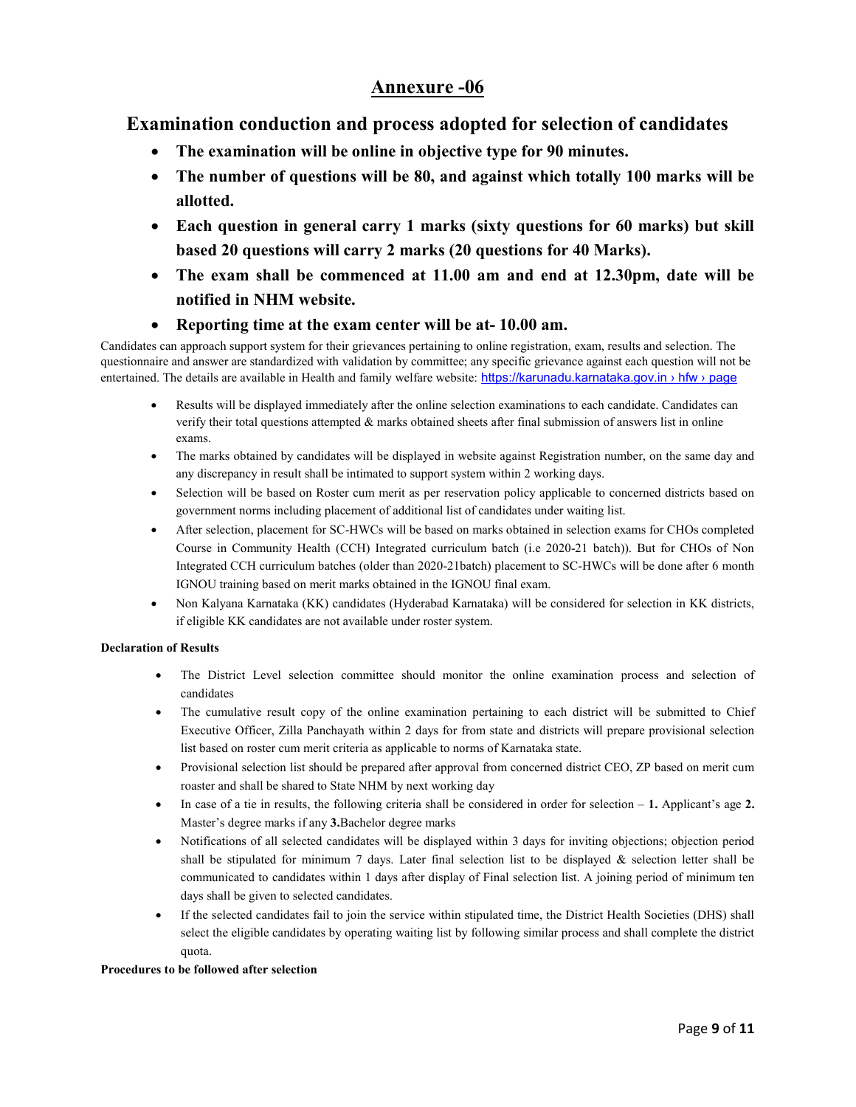# Annexure -06

## Examination conduction and process adopted for selection of candidates

- The examination will be online in objective type for 90 minutes.
- The number of questions will be 80, and against which totally 100 marks will be allotted.
- Each question in general carry 1 marks (sixty questions for 60 marks) but skill based 20 questions will carry 2 marks (20 questions for 40 Marks).
- The exam shall be commenced at 11.00 am and end at 12.30pm, date will be notified in NHM website.
- Reporting time at the exam center will be at- 10.00 am.

Candidates can approach support system for their grievances pertaining to online registration, exam, results and selection. The questionnaire and answer are standardized with validation by committee; any specific grievance against each question will not be entertained. The details are available in Health and family welfare website: https://karunadu.karnataka.gov.in > hfw > page

- Results will be displayed immediately after the online selection examinations to each candidate. Candidates can verify their total questions attempted & marks obtained sheets after final submission of answers list in online exams.
- The marks obtained by candidates will be displayed in website against Registration number, on the same day and any discrepancy in result shall be intimated to support system within 2 working days.
- Selection will be based on Roster cum merit as per reservation policy applicable to concerned districts based on government norms including placement of additional list of candidates under waiting list.
- After selection, placement for SC-HWCs will be based on marks obtained in selection exams for CHOs completed Course in Community Health (CCH) Integrated curriculum batch (i.e 2020-21 batch)). But for CHOs of Non Integrated CCH curriculum batches (older than 2020-21batch) placement to SC-HWCs will be done after 6 month IGNOU training based on merit marks obtained in the IGNOU final exam.
- Non Kalyana Karnataka (KK) candidates (Hyderabad Karnataka) will be considered for selection in KK districts, if eligible KK candidates are not available under roster system.

#### Declaration of Results

- The District Level selection committee should monitor the online examination process and selection of candidates
- The cumulative result copy of the online examination pertaining to each district will be submitted to Chief Executive Officer, Zilla Panchayath within 2 days for from state and districts will prepare provisional selection list based on roster cum merit criteria as applicable to norms of Karnataka state.
- Provisional selection list should be prepared after approval from concerned district CEO, ZP based on merit cum roaster and shall be shared to State NHM by next working day
- In case of a tie in results, the following criteria shall be considered in order for selection 1. Applicant's age 2. Master's degree marks if any 3.Bachelor degree marks
- Notifications of all selected candidates will be displayed within 3 days for inviting objections; objection period shall be stipulated for minimum 7 days. Later final selection list to be displayed & selection letter shall be communicated to candidates within 1 days after display of Final selection list. A joining period of minimum ten days shall be given to selected candidates.
- If the selected candidates fail to join the service within stipulated time, the District Health Societies (DHS) shall select the eligible candidates by operating waiting list by following similar process and shall complete the district quota.

#### Procedures to be followed after selection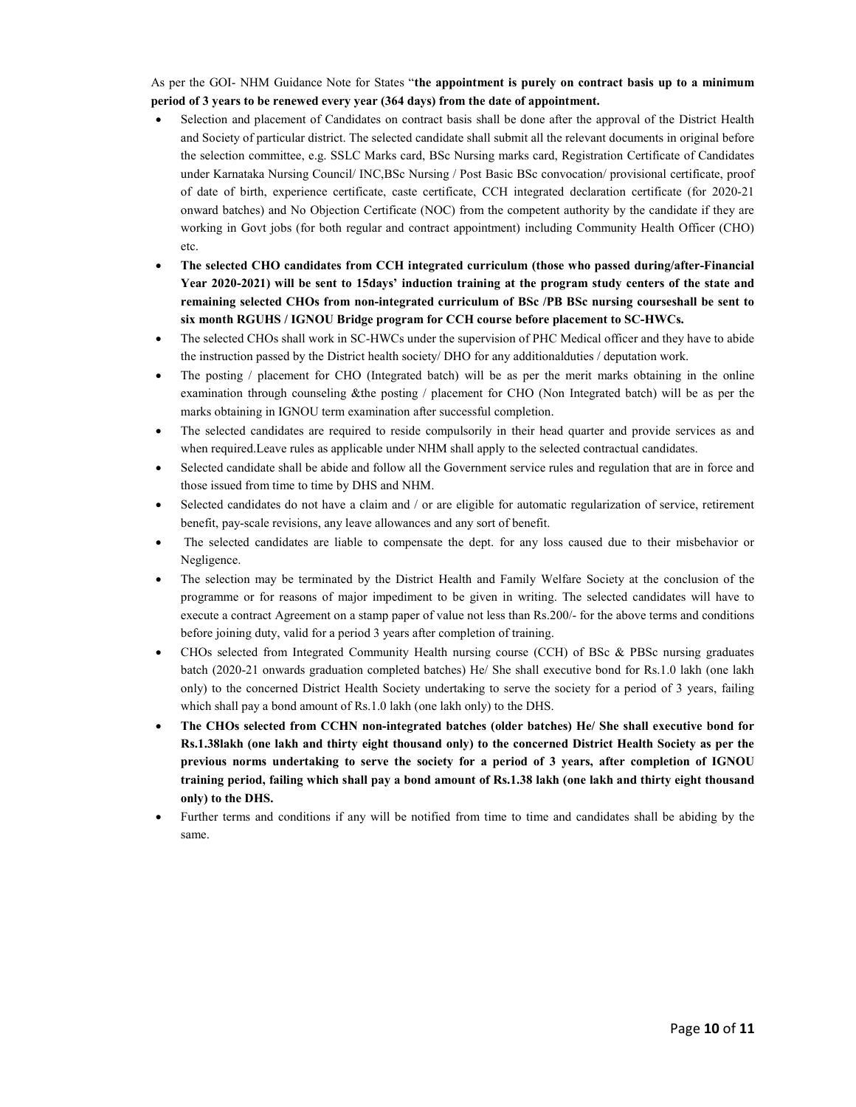As per the GOI- NHM Guidance Note for States "the appointment is purely on contract basis up to a minimum period of 3 years to be renewed every year (364 days) from the date of appointment.

- Selection and placement of Candidates on contract basis shall be done after the approval of the District Health and Society of particular district. The selected candidate shall submit all the relevant documents in original before the selection committee, e.g. SSLC Marks card, BSc Nursing marks card, Registration Certificate of Candidates under Karnataka Nursing Council/ INC,BSc Nursing / Post Basic BSc convocation/ provisional certificate, proof of date of birth, experience certificate, caste certificate, CCH integrated declaration certificate (for 2020-21 onward batches) and No Objection Certificate (NOC) from the competent authority by the candidate if they are working in Govt jobs (for both regular and contract appointment) including Community Health Officer (CHO) etc.
- The selected CHO candidates from CCH integrated curriculum (those who passed during/after-Financial Year 2020-2021) will be sent to 15days' induction training at the program study centers of the state and remaining selected CHOs from non-integrated curriculum of BSc /PB BSc nursing courseshall be sent to six month RGUHS / IGNOU Bridge program for CCH course before placement to SC-HWCs.
- The selected CHOs shall work in SC-HWCs under the supervision of PHC Medical officer and they have to abide the instruction passed by the District health society/ DHO for any additionalduties / deputation work.
- The posting / placement for CHO (Integrated batch) will be as per the merit marks obtaining in the online examination through counseling &the posting / placement for CHO (Non Integrated batch) will be as per the marks obtaining in IGNOU term examination after successful completion.
- The selected candidates are required to reside compulsorily in their head quarter and provide services as and when required.Leave rules as applicable under NHM shall apply to the selected contractual candidates.
- Selected candidate shall be abide and follow all the Government service rules and regulation that are in force and those issued from time to time by DHS and NHM.
- Selected candidates do not have a claim and / or are eligible for automatic regularization of service, retirement benefit, pay-scale revisions, any leave allowances and any sort of benefit.
- The selected candidates are liable to compensate the dept. for any loss caused due to their misbehavior or Negligence.
- The selection may be terminated by the District Health and Family Welfare Society at the conclusion of the programme or for reasons of major impediment to be given in writing. The selected candidates will have to execute a contract Agreement on a stamp paper of value not less than Rs.200/- for the above terms and conditions before joining duty, valid for a period 3 years after completion of training.
- CHOs selected from Integrated Community Health nursing course (CCH) of BSc & PBSc nursing graduates batch (2020-21 onwards graduation completed batches) He/ She shall executive bond for Rs.1.0 lakh (one lakh only) to the concerned District Health Society undertaking to serve the society for a period of 3 years, failing which shall pay a bond amount of Rs.1.0 lakh (one lakh only) to the DHS.
- The CHOs selected from CCHN non-integrated batches (older batches) He/ She shall executive bond for Rs.1.38lakh (one lakh and thirty eight thousand only) to the concerned District Health Society as per the previous norms undertaking to serve the society for a period of 3 years, after completion of IGNOU training period, failing which shall pay a bond amount of Rs.1.38 lakh (one lakh and thirty eight thousand only) to the DHS.
- Further terms and conditions if any will be notified from time to time and candidates shall be abiding by the same.